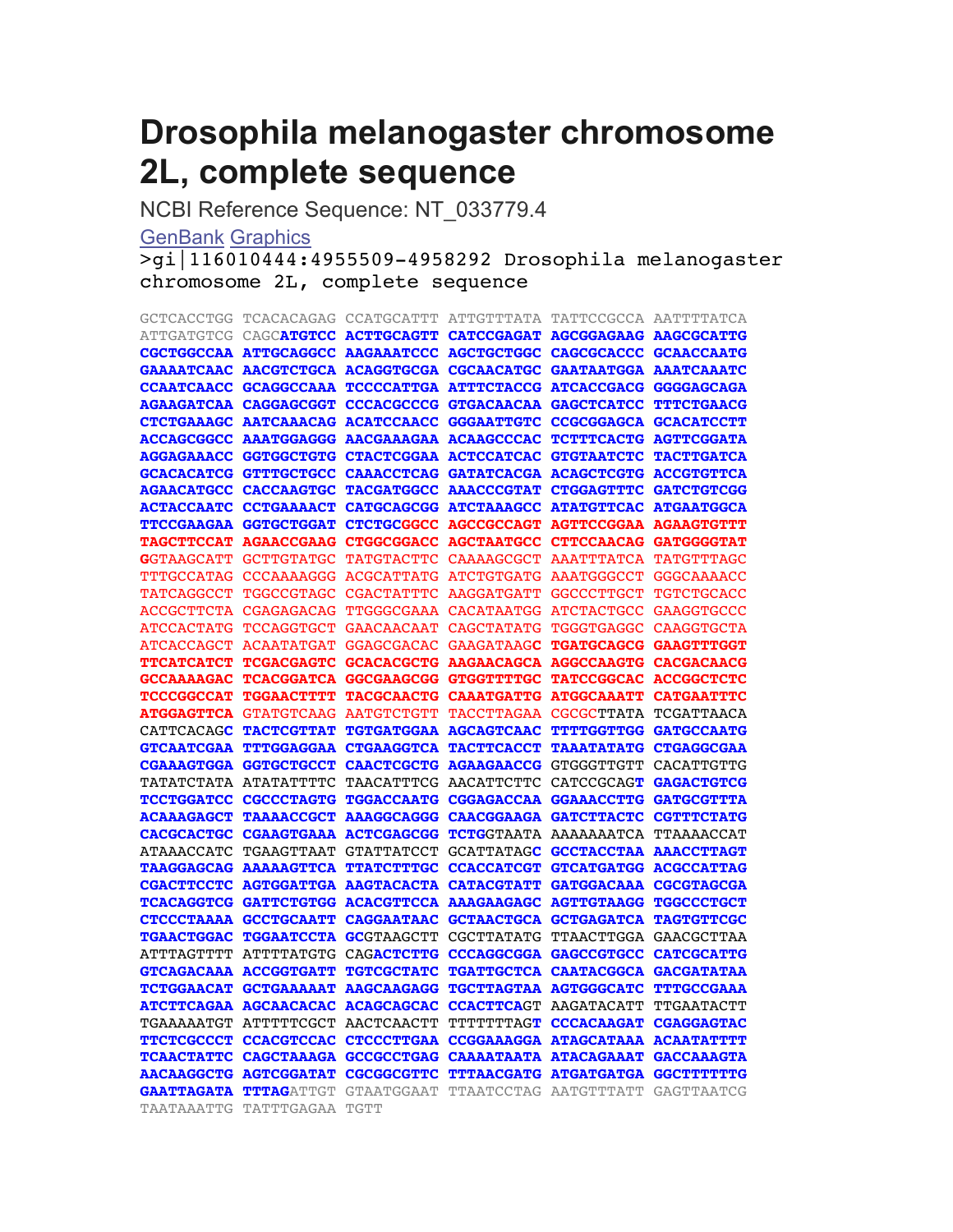# **Drosophila melanogaster chromosome 2L, complete sequence**

NCBI Reference Sequence: NT\_033779.4

# **GenBank Graphics**

>gi|116010444:4955509-4958292 Drosophila melanogaster chromosome 2L, complete sequence

| <b>GCTCACCTGG</b>                      | TCACACAGAG CCATGCATTT ATTGTTTATA            |                                        |                                        | TATTCCGCCA AATTTTATCA        |                                                   |
|----------------------------------------|---------------------------------------------|----------------------------------------|----------------------------------------|------------------------------|---------------------------------------------------|
| <b>ATTGATGTCG</b>                      | CAGCATGTCC ACTTGCAGTT                       |                                        | <b>CATCCGAGAT</b>                      |                              | <b>AGCGGAGAAG AAGCGCATTG</b>                      |
|                                        | CGCTGGCCAA ATTGCAGGCC AAGAAATCCC            |                                        | <b>AGCTGCTGGC</b>                      |                              | CAGCGCACCC GCAACCAATG                             |
| <b>GAAAATCAAC</b>                      | <b>AACGTCTGCA ACAGGTGCGA</b>                |                                        | <b>CGCAACATGC</b>                      |                              | <b>GAATAATGGA AAATCAAATC</b>                      |
|                                        | CCAATCAACC GCAGGCCAAA                       | <b>TCCCCATTGA</b>                      | <b>ATTTCTACCG</b>                      |                              | <b>ATCACCGACG GGGGAGCAGA</b>                      |
| <b>AGAAGATCAA</b>                      | <b>CAGGAGCGGT</b>                           | <b>CCCACGCCCG</b>                      | <b>GTGACAACAA</b>                      | <b>GAGCTCATCC</b>            | <b>TTTCTGAACG</b>                                 |
|                                        | CTCTGAAAGC AATCAAACAG ACATCCAACC            |                                        | <b>GGGAATTGTC</b>                      |                              | CCGCGGAGCA GCACATCCTT                             |
|                                        | ACCAGCGGCC AAATGGAGGG AACGAAAGAA ACAAGCCCAC |                                        |                                        |                              | TCTTTCACTG AGTTCGGATA                             |
| <b>AGGAGAAACC</b>                      | <b>GGTGGCTGTG</b>                           | <b>CTACTCGGAA</b>                      | <b>ACTCCATCAC</b>                      | <b>GTGTAATCTC</b>            | <b>TACTTGATCA</b>                                 |
| <b>GCACACATCG</b>                      | <b>GTTTGCTGCC</b>                           | <b>CAAACCTCAG</b>                      | <b>GATATCACGA</b>                      |                              | <b>ACAGCTCGTG ACCGTGTTCA</b>                      |
| <b>AGAACATGCC</b>                      | <b>CACCAAGTGC</b>                           | <b>TACGATGGCC</b>                      | <b>AAACCCGTAT</b>                      | <b>CTGGAGTTTC</b>            | <b>GATCTGTCGG</b>                                 |
| <b>ACTACCAATC</b>                      | <b>CCTGAAAACT</b>                           | <b>CATGCAGCGG</b>                      | <b>ATCTAAAGCC</b>                      | <b>ATATGTTCAC ATGAATGGCA</b> |                                                   |
| <b>TTCCGAAGAA</b>                      | <b>GGTGCTGGAT</b>                           | <b>CTCTGCGGCC</b>                      | <b>AGCCGCCAGT</b>                      | <b>AGTTCCGGAA</b>            | <b>AGAAGTGTTT</b>                                 |
| <b>TAGCTTCCAT</b>                      | <b>AGAACCGAAG</b>                           | <b>CTGGCGGACC</b>                      | <b>AGCTAATGCC</b>                      |                              | CTTCCAACAG GATGGGGTAT                             |
| GGTAAGCATT                             | <b>GCTTGTATGC</b>                           | <b>TATGTACTTC</b>                      | <b>CAAAAGCGCT</b>                      | AAATTTATCA TATGTTTAGC        |                                                   |
| TTTGCCATAG                             | <b>CCCAAAAGGG</b>                           | <b>ACGCATTATG</b>                      | <b>ATCTGTGATG</b>                      | <b>AAATGGGCCT</b>            | GGGCAAAACC                                        |
| TATCAGGCCT                             | <b>TGGCCGTAGC</b>                           | CGACTATTTC                             | <b>AAGGATGATT</b>                      | GGCCCTTGCT                   | TGTCTGCACC                                        |
| <b>ACCGCTTCTA</b>                      | <b>CGAGAGACAG</b>                           | <b>TTGGGCGAAA</b>                      | <b>CACATAATGG</b>                      | <b>ATCTACTGCC</b>            | <b>GAAGGTGCCC</b>                                 |
| <b>ATCCACTATG</b>                      | <b>TCCAGGTGCT</b>                           | GAACAACAAT                             | <b>CAGCTATATG</b>                      | <b>TGGGTGAGGC</b>            | <b>CAAGGTGCTA</b>                                 |
| <b>ATCACCAGCT</b><br><b>TTCATCATCT</b> | <b>ACAATATGAT</b><br><b>TCGACGAGTC</b>      | <b>GGAGCGACAC</b><br><b>GCACACGCTG</b> | <b>GAAGATAAGC</b><br><b>AAGAACAGCA</b> | <b>AGGCCAAGTG</b>            | <b>TGATGCAGCG GAAGTTTGGT</b><br><b>CACGACAACG</b> |
| <b>GCCAAAAGAC</b>                      | <b>TCACGGATCA</b>                           | GGCGAAGCGG                             | <b>GTGGTTTTGC</b>                      | <b>TATCCGGCAC</b>            | <b>ACCGGCTCTC</b>                                 |
| <b>TCCCGGCCAT</b>                      | <b>TGGAACTTTT</b>                           | <b>TACGCAACTG</b>                      | <b>CAAATGATTG</b>                      | <b>ATGGCAAATT</b>            | <b>CATGAATTTC</b>                                 |
| <b>ATGGAGTTCA</b>                      | <b>GTATGTCAAG</b>                           | <b>AATGTCTGTT</b>                      | <b>TACCTTAGAA</b>                      | <b>CGCGCTTATA</b>            | TCGATTAACA                                        |
| CATTCACAGC                             | <b>TACTCGTTAT</b>                           | <b>TGTGATGGAA</b>                      | <b>AGCAGTCAAC</b>                      | <b>TTTTGGTTGG</b>            | <b>GATGCCAATG</b>                                 |
| <b>GTCAATCGAA</b>                      | <b>TTTGGAGGAA</b>                           | <b>CTGAAGGTCA</b>                      | <b>TACTTCACCT</b>                      | <b>TAAATATATG</b>            | <b>CTGAGGCGAA</b>                                 |
| <b>CGAAAGTGGA</b>                      | <b>GGTGCTGCCT</b>                           | <b>CAACTCGCTG</b>                      | <b>AGAAGAACCG</b>                      | GTGGGTTGTT                   | CACATTGTTG                                        |
| TATATCTATA                             | <b>ATATATTTTC</b>                           | TAACATTTCG                             | AACATTCTTC                             | CATCCGCAGT                   | <b>GAGACTGTCG</b>                                 |
| <b>TCCTGGATCC</b>                      | <b>CGCCCTAGTG</b>                           | <b>TGGACCAATG</b>                      | <b>CGGAGACCAA</b>                      | <b>GGAAACCTTG</b>            | <b>GATGCGTTTA</b>                                 |
| <b>ACAAAGAGCT</b>                      | <b>TAAAACCGCT</b>                           | <b>AAAGGCAGGG</b>                      | <b>CAACGGAAGA</b>                      | <b>GATCTTACTC</b>            | <b>CGTTTCTATG</b>                                 |
| <b>CACGCACTGC</b>                      | <b>CGAAGTGAAA</b>                           | <b>ACTCGAGCGG</b>                      | TCTGGTAATA                             | AAAAAAATCA                   | TTAAAACCAT                                        |
| <b>ATAAACCATC</b>                      | <b>TGAAGTTAAT</b>                           | <b>GTATTATCCT</b>                      | <b>GCATTATAGC</b>                      |                              | GCCTACCTAA AAACCTTAGT                             |
| <b>TAAGGAGCAG</b>                      | <b>AAAAAGTTCA</b>                           | <b>TTATCTTTGC</b>                      | <b>CCACCATCGT</b>                      | <b>GTCATGATGG</b>            | <b>ACGCCATTAG</b>                                 |
| <b>CGACTTCCTC</b>                      | <b>AGTGGATTGA AAGTACACTA</b>                |                                        | <b>CATACGTATT</b>                      |                              | GATGGACAAA CGCGTAGCGA                             |
| <b>TCACAGGTCG</b>                      | <b>GATTCTGTGG</b>                           | <b>ACACGTTCCA</b>                      | <b>AAAGAAGAGC</b>                      | <b>AGTTGTAAGG</b>            | <b>TGGCCCTGCT</b>                                 |
| <b>СТСССТАААА</b>                      | <b>GCCTGCAATT</b>                           | <b>CAGGAATAAC</b>                      | <b>GCTAACTGCA</b>                      | <b>GCTGAGATCA</b>            | <b>TAGTGTTCGC</b>                                 |
| <b>TGAACTGGAC</b>                      | <b>TGGAATCCTA</b>                           | <b>GC</b> GTAAGCTT                     | CGCTTATATG                             |                              | TTAACTTGGA GAACGCTTAA                             |
| <b>ATTTAGTTTT</b>                      | <b>ATTTTATGTG</b>                           | <b>CAGACTCTTG</b>                      | <b>CCCAGGCGGA</b>                      | <b>GAGCCGTGCC</b>            | <b>CATCGCATTG</b>                                 |
| <b>GTCAGACAAA</b>                      | <b>ACCGGTGATT</b>                           | <b>TGTCGCTATC</b>                      | <b>TGATTGCTCA</b>                      | CAATACGGCA GACGATATAA        |                                                   |
| <b>TCTGGAACAT</b>                      | <b>GCTGAAAAAT</b>                           | <b>AAGCAAGAGG</b>                      | <b>TGCTTAGTAA</b>                      | <b>AGTGGGCATC</b>            | <b>TTTGCCGAAA</b>                                 |
|                                        | <b>ATCTTCAGAA AGCAACACAC</b>                | <b>ACAGCAGCAC</b>                      | <b>CCACTTCAGT</b>                      | <b>AAGATACATT</b>            | TTGAATACTT                                        |
| <b>TGAAAAATGT</b>                      | ATTTTTCGCT                                  | AACTCAACTT                             | ͲͲͲͲͲͲͲΑG <mark>T</mark>               | <b>CCCACAAGAT</b>            | <b>CGAGGAGTAC</b>                                 |
| <b>TTCTCGCCCT</b>                      | <b>CCACGTCCAC</b>                           | <b>CTCCCTTGAA</b>                      | <b>CCGGAAAGGA</b>                      | <b>ATAGCATAAA</b>            | <b>ACAATATTTT</b>                                 |
| <b>TCAACTATTC</b>                      | <b>CAGCTAAAGA</b>                           | <b>GCCGCCTGAG</b>                      | <b>CAAAATAATA</b>                      | <b>ATACAGAAAT</b>            | <b>GACCAAAGTA</b>                                 |
| <b>AACAAGGCTG</b>                      | <b>AGTCGGATAT</b>                           | <b>CGCGGCGTTC</b>                      | <b>TTTAACGATG</b>                      | <b>ATGATGATGA</b>            | GGCTTTTTTG                                        |
|                                        |                                             |                                        |                                        |                              |                                                   |
| <b>GAATTAGATA</b>                      | <b>TTTAGATTGT</b>                           | <b>GTAATGGAAT</b>                      | TTAATCCTAG AATGTTTATT                  |                              | GAGTTAATCG                                        |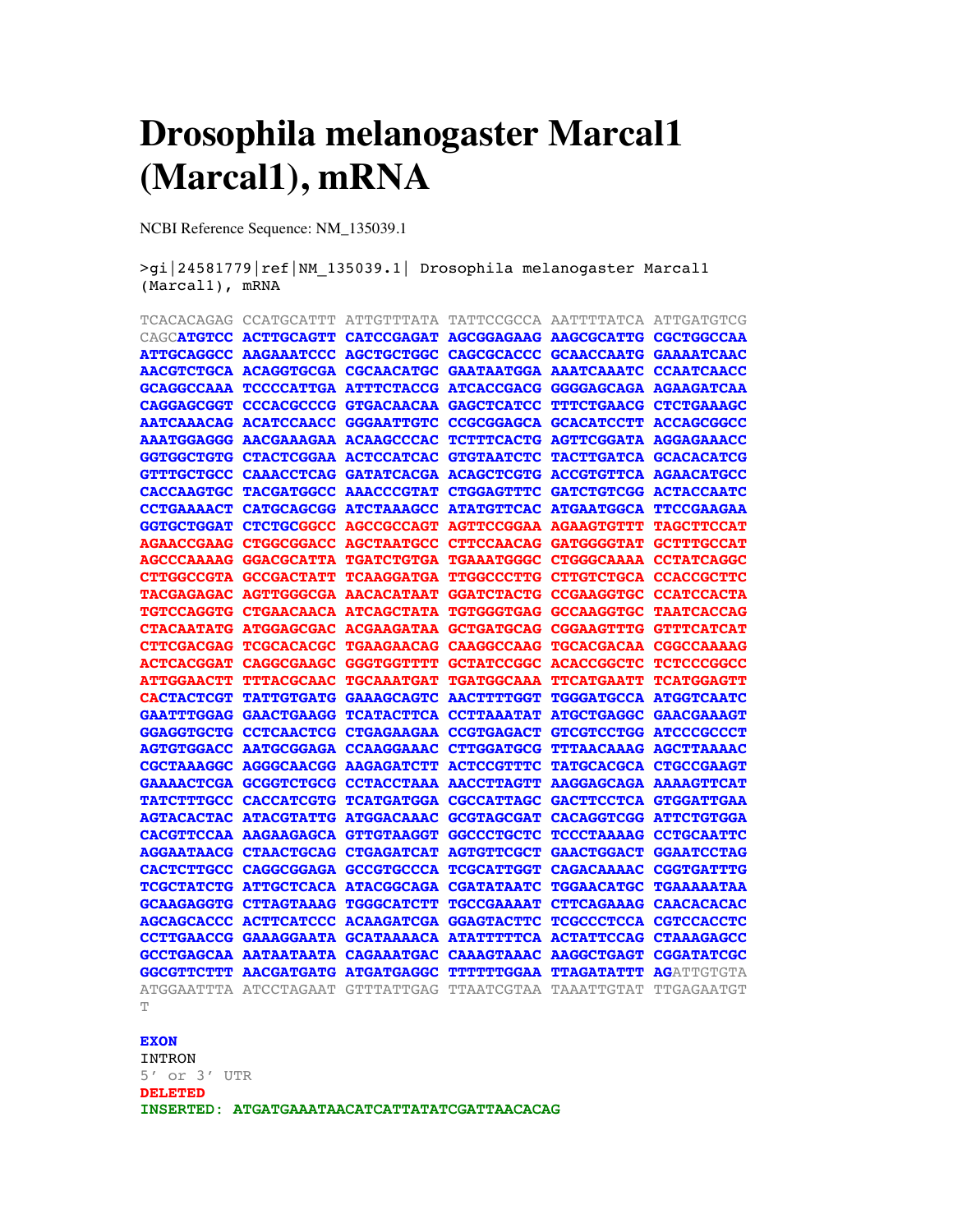# **Drosophila melanogaster Marcal1 (Marcal1), mRNA**

NCBI Reference Sequence: NM\_135039.1

>gi|24581779|ref|NM\_135039.1| Drosophila melanogaster Marcal1 (Marcal1), mRNA

| TCACACAGAG            | CCATGCATTT                              | <b>ATTGTTTATA</b>                                                 | TATTCCGCCA                   | AATTTTATCA                       | ATTGATGTCG        |
|-----------------------|-----------------------------------------|-------------------------------------------------------------------|------------------------------|----------------------------------|-------------------|
| CAGCATGTCC            |                                         | ACTTGCAGTT CATCCGAGAT AGCGGAGAAG AAGCGCATTG                       |                              |                                  | <b>CGCTGGCCAA</b> |
| <b>ATTGCAGGCC</b>     | AAGAAATCCC AGCTGCTGGC                   |                                                                   | <b>CAGCGCACCC</b>            | <b>GCAACCAATG</b>                | <b>GAAAATCAAC</b> |
|                       | <b>AACGTCTGCA ACAGGTGCGA CGCAACATGC</b> |                                                                   | <b>GAATAATGGA AAATCAAATC</b> |                                  | <b>CCAATCAACC</b> |
|                       |                                         | GCAGGCCAAA TCCCCATTGA ATTTCTACCG ATCACCGACG GGGGAGCAGA AGAAGATCAA |                              |                                  |                   |
| <b>CAGGAGCGGT</b>     |                                         | CCCACGCCCG GTGACAACAA                                             | <b>GAGCTCATCC</b>            | <b>TTTCTGAACG</b>                | <b>CTCTGAAAGC</b> |
|                       | AATCAAACAG ACATCCAACC                   | <b>GGGAATTGTC</b>                                                 |                              | CCGCGGAGCA GCACATCCTT ACCAGCGGCC |                   |
|                       | AAATGGAGGG AACGAAAGAA ACAAGCCCAC        |                                                                   |                              | TCTTTCACTG AGTTCGGATA AGGAGAAACC |                   |
|                       | GGTGGCTGTG CTACTCGGAA ACTCCATCAC        |                                                                   | <b>GTGTAATCTC</b>            | <b>TACTTGATCA GCACACATCG</b>     |                   |
| <b>GTTTGCTGCC</b>     |                                         | CAAACCTCAG GATATCACGA ACAGCTCGTG ACCGTGTTCA AGAACATGCC            |                              |                                  |                   |
| <b>CACCAAGTGC</b>     | <b>TACGATGGCC</b>                       | <b>AAACCCGTAT</b>                                                 | <b>CTGGAGTTTC</b>            | <b>GATCTGTCGG</b>                | <b>ACTACCAATC</b> |
| <b>CCTGAAAACT</b>     | CATGCAGCGG ATCTAAAGCC                   |                                                                   | <b>ATATGTTCAC</b>            | <b>ATGAATGGCA</b>                | <b>TTCCGAAGAA</b> |
| <b>GGTGCTGGAT</b>     | CTCTGCGGCC AGCCGCCAGT                   |                                                                   | <b>AGTTCCGGAA AGAAGTGTTT</b> |                                  | <b>TAGCTTCCAT</b> |
| <b>AGAACCGAAG</b>     | <b>CTGGCGGACC</b>                       | <b>AGCTAATGCC</b>                                                 | CTTCCAACAG GATGGGGTAT        |                                  | <b>GCTTTGCCAT</b> |
|                       |                                         | AGCCCAAAAG GGACGCATTA TGATCTGTGA TGAAATGGGC CTGGGCAAAA CCTATCAGGC |                              |                                  |                   |
| <b>CTTGGCCGTA</b>     | GCCGACTATT TCAAGGATGA                   |                                                                   | <b>TTGGCCCTTG</b>            | CTTGTCTGCA CCACCGCTTC            |                   |
| <b>TACGAGAGAC</b>     | <b>AGTTGGGCGA AACACATAAT</b>            |                                                                   | GGATCTACTG CCGAAGGTGC        |                                  | <b>CCATCCACTA</b> |
|                       |                                         | TGTCCAGGTG CTGAACAACA ATCAGCTATA TGTGGGTGAG GCCAAGGTGC            |                              |                                  | <b>TAATCACCAG</b> |
|                       |                                         | CTACAATATG ATGGAGCGAC ACGAAGATAA GCTGATGCAG CGGAAGTTTG            |                              |                                  | <b>GTTTCATCAT</b> |
| CTTCGACGAG TCGCACACGC |                                         | <b>TGAAGAACAG</b>                                                 | <b>CAAGGCCAAG</b>            | TGCACGACAA CGGCCAAAAG            |                   |
| <b>ACTCACGGAT</b>     | <b>CAGGCGAAGC</b>                       | GGGTGGTTTT                                                        | GCTATCCGGC ACACCGGCTC        |                                  | <b>TCTCCCGGCC</b> |
| <b>ATTGGAACTT</b>     | TTTACGCAAC TGCAAATGAT                   |                                                                   |                              | TGATGGCAAA TTCATGAATT TCATGGAGTT |                   |
| <b>CACTACTCGT</b>     | <b>TATTGTGATG GAAAGCAGTC</b>            |                                                                   | <b>AACTTTTGGT</b>            | <b>TGGGATGCCA ATGGTCAATC</b>     |                   |
|                       | <b>GAATTTGGAG GAACTGAAGG</b>            | <b>TCATACTTCA</b>                                                 | <b>CCTTAAATAT</b>            | <b>ATGCTGAGGC</b>                | <b>GAACGAAAGT</b> |
| <b>GGAGGTGCTG</b>     | CCTCAACTCG CTGAGAAGAA                   |                                                                   | <b>CCGTGAGACT</b>            | GTCGTCCTGG ATCCCGCCCT            |                   |
| <b>AGTGTGGACC</b>     | <b>AATGCGGAGA</b>                       | <b>CCAAGGAAAC</b>                                                 | <b>CTTGGATGCG</b>            | <b>TTTAACAAAG AGCTTAAAAC</b>     |                   |
| <b>CGCTAAAGGC</b>     | <b>AGGGCAACGG AAGAGATCTT</b>            |                                                                   | <b>ACTCCGTTTC</b>            | <b>TATGCACGCA CTGCCGAAGT</b>     |                   |
|                       | GAAAACTCGA GCGGTCTGCG CCTACCTAAA        |                                                                   | <b>AACCTTAGTT</b>            | <b>AAGGAGCAGA AAAAGTTCAT</b>     |                   |
| <b>TATCTTTGCC</b>     | CACCATCGTG TCATGATGGA                   |                                                                   | <b>CGCCATTAGC</b>            | GACTTCCTCA GTGGATTGAA            |                   |
| <b>AGTACACTAC</b>     | <b>ATACGTATTG ATGGACAAAC</b>            |                                                                   | <b>GCGTAGCGAT</b>            | CACAGGTCGG ATTCTGTGGA            |                   |
|                       | CACGTTCCAA AAGAAGAGCA GTTGTAAGGT        |                                                                   | <b>GGCCCTGCTC</b>            | <b>TCCCTAAAAG</b>                | <b>CCTGCAATTC</b> |
|                       | <b>AGGAATAACG CTAACTGCAG CTGAGATCAT</b> |                                                                   | <b>AGTGTTCGCT</b>            | <b>GAACTGGACT</b>                | <b>GGAATCCTAG</b> |
|                       |                                         | CACTCTTGCC CAGGCGGAGA GCCGTGCCCA TCGCATTGGT                       |                              | <b>CAGACAAAAC</b>                | <b>CGGTGATTTG</b> |
|                       | TCGCTATCTG ATTGCTCACA ATACGGCAGA        |                                                                   | <b>CGATATAATC</b>            | <b>TGGAACATGC</b>                | <b>TGAAAAATAA</b> |
|                       | GCAAGAGGTG CTTAGTAAAG TGGGCATCTT        |                                                                   | <b>TGCCGAAAAT</b>            | CTTCAGAAAG CAACACACAC            |                   |
| <b>AGCAGCACCC</b>     | <b>ACTTCATCCC ACAAGATCGA</b>            |                                                                   | <b>GGAGTACTTC</b>            | TCGCCCTCCA CGTCCACCTC            |                   |
|                       | CCTTGAACCG GAAAGGAATA GCATAAAACA        |                                                                   | <b>ATATTTTTCA</b>            | <b>ACTATTCCAG</b>                | <b>CTAAAGAGCC</b> |
| <b>GCCTGAGCAA</b>     | <b>AATAATAATA</b>                       | <b>CAGAAATGAC</b>                                                 | <b>CAAAGTAAAC</b>            | <b>AAGGCTGAGT</b>                | <b>CGGATATCGC</b> |
| <b>GGCGTTCTTT</b>     | <b>AACGATGATG</b>                       | <b>ATGATGAGGC</b>                                                 | <b>TTTTTTGGAA</b>            | <b>TTAGATATTT</b>                | <b>AGATTGTGTA</b> |
| $\Box$                | ATGGAATTTA ATCCTAGAAT                   | GTTTATTGAG                                                        | TTAATCGTAA                   | TAAATTGTAT                       | TTGAGAATGT        |

#### T

#### **EXON**

INTRON 5' or 3' UTR **DELETED INSERTED: ATGATGAAATAACATCATTATATCGATTAACACAG**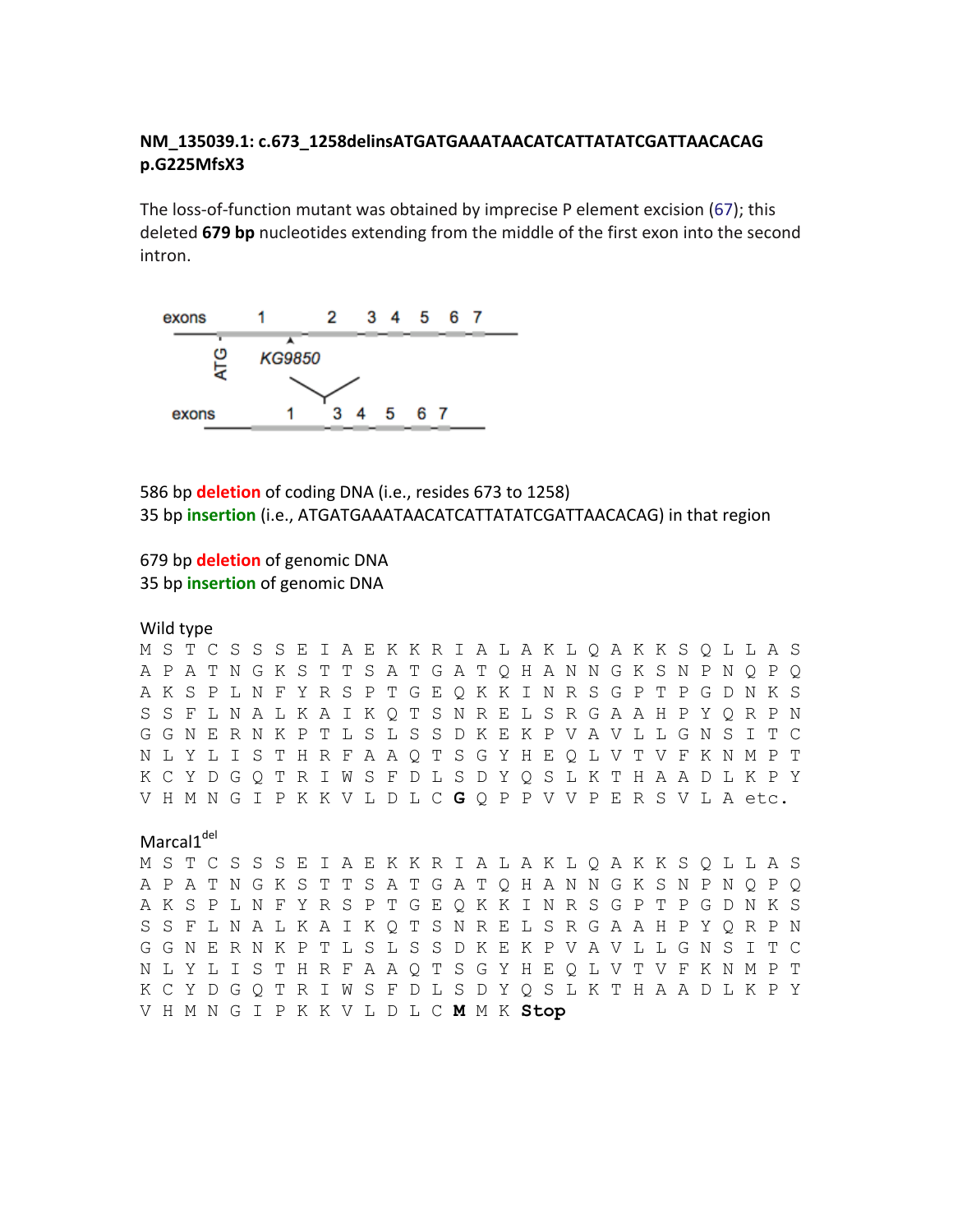### NM 135039.1: c.673 1258delinsATGATGAAATAACATCATTATATCGATTAACACAG p.G225MfsX3

The loss-of-function mutant was obtained by imprecise P element excision (67); this deleted 679 bp nucleotides extending from the middle of the first exon into the second intron.



586 bp deletion of coding DNA (i.e., resides 673 to 1258) 35 bp insertion (i.e., ATGATGAAATAACATCATTATATCGATTAACACAG) in that region

### 679 bp deletion of genomic DNA 35 bp insertion of genomic DNA

Wild type

M S T C S S S E I A E K K R I A L A K L Q A K K S Q L L A S A P A T N G K S T T S A T G A T O H A N N G K S N P N O P O AKSPLNFYRSPTGEOKKINRSGPTPGDNKS S S F L N A L K A I K Q T S N R E L S R G A A H P Y Q R P N G G N E R N K P T L S L S S D K E K P V A V L L G N S I T C N L Y L I S T H R F A A O T S G Y H E O L V T V F K N M P T K C Y D G Q T R I W S F D L S D Y Q S L K T H A A D L K P Y VHMNGIPKKVLDLCGQPPVVPERSVLA etc.

## Marcal1<sup>del</sup>

M S T C S S S E I A E K K R I A L A K L Q A K K S Q L L A S A P A T N G K S T T S A T G A T O H A N N G K S N P N O P O A K S P L N F Y R S P T G E Q K K I N R S G P T P G D N K S S S F L N A L K A I K Q T S N R E L S R G A A H P Y Q R P N G G N E R N K P T L S L S S D K E K P V A V L L G N S I T C N L Y L I S T H R F A A Q T S G Y H E O L V T V F K N M P T K C Y D G O T R I W S F D L S D Y O S L K T H A A D L K P Y VHMNGIPKKVLDLCMMKStop